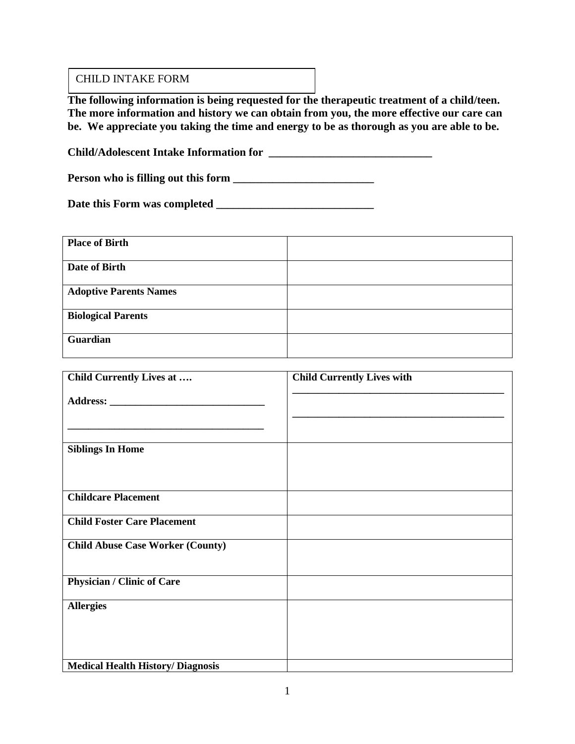#### CHILD INTAKE FORM

**The following information is being requested for the therapeutic treatment of a child/teen. The more information and history we can obtain from you, the more effective our care can be. We appreciate you taking the time and energy to be as thorough as you are able to be.**

**Child/Adolescent Intake Information for \_\_\_\_\_\_\_\_\_\_\_\_\_\_\_\_\_\_\_\_\_\_\_\_\_\_\_\_\_**

Person who is filling out this form **\_\_\_\_\_\_\_\_\_\_\_\_\_\_\_\_\_\_\_\_\_\_\_\_** 

**Date this Form was completed \_\_\_\_\_\_\_\_\_\_\_\_\_\_\_\_\_\_\_\_\_\_\_\_\_\_\_\_**

| <b>Place of Birth</b>         |  |
|-------------------------------|--|
| Date of Birth                 |  |
| <b>Adoptive Parents Names</b> |  |
| <b>Biological Parents</b>     |  |
| Guardian                      |  |

| Child Currently Lives at                 | <b>Child Currently Lives with</b> |
|------------------------------------------|-----------------------------------|
|                                          |                                   |
|                                          |                                   |
| <b>Siblings In Home</b>                  |                                   |
| <b>Childcare Placement</b>               |                                   |
| <b>Child Foster Care Placement</b>       |                                   |
| <b>Child Abuse Case Worker (County)</b>  |                                   |
| <b>Physician / Clinic of Care</b>        |                                   |
| <b>Allergies</b>                         |                                   |
| <b>Medical Health History/ Diagnosis</b> |                                   |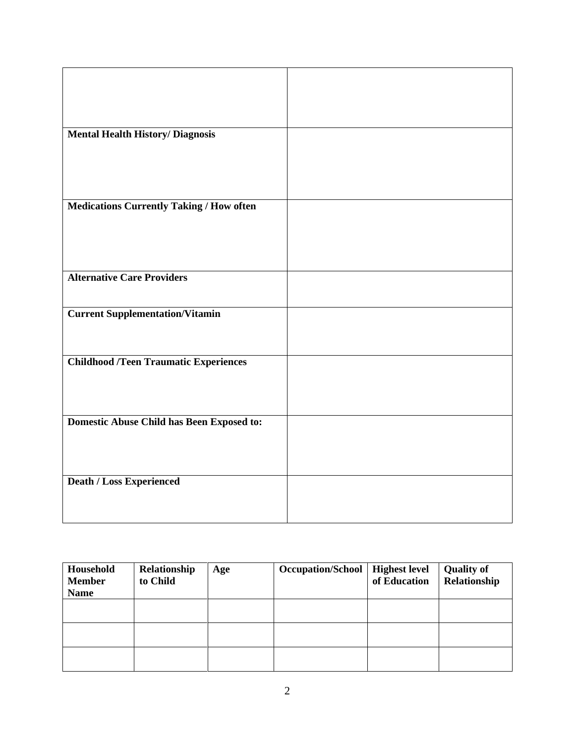| <b>Mental Health History/ Diagnosis</b>          |  |
|--------------------------------------------------|--|
|                                                  |  |
|                                                  |  |
|                                                  |  |
|                                                  |  |
|                                                  |  |
|                                                  |  |
|                                                  |  |
| <b>Medications Currently Taking / How often</b>  |  |
|                                                  |  |
|                                                  |  |
|                                                  |  |
|                                                  |  |
|                                                  |  |
|                                                  |  |
| <b>Alternative Care Providers</b>                |  |
|                                                  |  |
|                                                  |  |
|                                                  |  |
| <b>Current Supplementation/Vitamin</b>           |  |
|                                                  |  |
|                                                  |  |
|                                                  |  |
|                                                  |  |
| <b>Childhood /Teen Traumatic Experiences</b>     |  |
|                                                  |  |
|                                                  |  |
|                                                  |  |
|                                                  |  |
|                                                  |  |
|                                                  |  |
| <b>Domestic Abuse Child has Been Exposed to:</b> |  |
|                                                  |  |
|                                                  |  |
|                                                  |  |
|                                                  |  |
|                                                  |  |
| <b>Death / Loss Experienced</b>                  |  |
|                                                  |  |
|                                                  |  |
|                                                  |  |
|                                                  |  |

| Household<br><b>Member</b><br><b>Name</b> | Relationship<br>to Child | Age | <b>Occupation/School</b> | <b>Highest level</b><br>of Education | <b>Quality of</b><br>Relationship |
|-------------------------------------------|--------------------------|-----|--------------------------|--------------------------------------|-----------------------------------|
|                                           |                          |     |                          |                                      |                                   |
|                                           |                          |     |                          |                                      |                                   |
|                                           |                          |     |                          |                                      |                                   |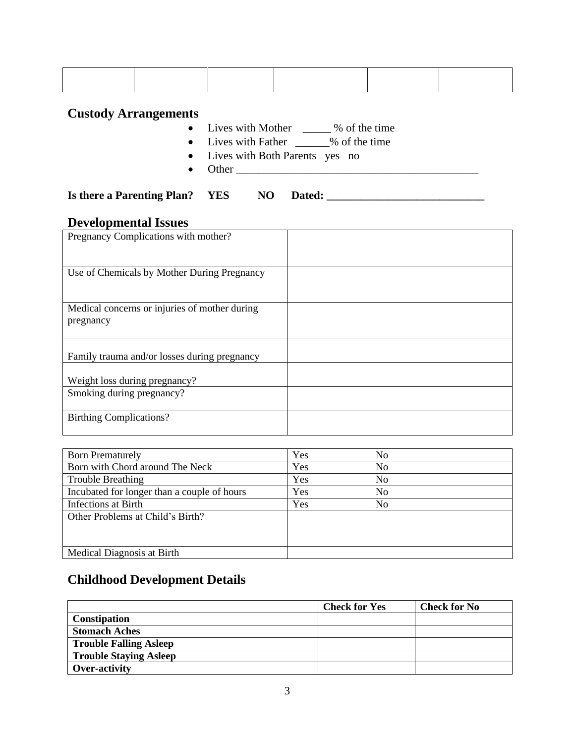#### **Custody Arrangements**

- Lives with Mother <u>\_\_\_\_\_</u> % of the time
- Lives with Father <u>\_\_\_\_\_\_</u>% of the time
- Lives with Both Parents yes no
- Other \_\_\_\_\_\_\_\_\_\_\_\_\_\_\_\_\_\_\_\_\_\_\_\_\_\_\_\_\_\_\_\_\_\_\_\_\_\_\_\_\_\_\_

### **Is there a Parenting Plan? YES NO Dated: \_\_\_\_\_\_\_\_\_\_\_\_\_\_\_\_\_\_\_\_\_\_\_\_\_\_\_\_**

#### **Developmental Issues**

| Pregnancy Complications with mother?                       |  |
|------------------------------------------------------------|--|
| Use of Chemicals by Mother During Pregnancy                |  |
| Medical concerns or injuries of mother during<br>pregnancy |  |
| Family trauma and/or losses during pregnancy               |  |
| Weight loss during pregnancy?<br>Smoking during pregnancy? |  |
| <b>Birthing Complications?</b>                             |  |

| <b>Born Prematurely</b>                     | Yes | No             |
|---------------------------------------------|-----|----------------|
| Born with Chord around The Neck             | Yes | N <sub>0</sub> |
| <b>Trouble Breathing</b>                    | Yes | No             |
| Incubated for longer than a couple of hours | Yes | No             |
| Infections at Birth                         | Yes | No             |
| Other Problems at Child's Birth?            |     |                |
|                                             |     |                |
|                                             |     |                |
| Medical Diagnosis at Birth                  |     |                |

## **Childhood Development Details**

|                               | <b>Check for Yes</b> | <b>Check for No</b> |
|-------------------------------|----------------------|---------------------|
| Constipation                  |                      |                     |
| <b>Stomach Aches</b>          |                      |                     |
| <b>Trouble Falling Asleep</b> |                      |                     |
| <b>Trouble Staying Asleep</b> |                      |                     |
| Over-activity                 |                      |                     |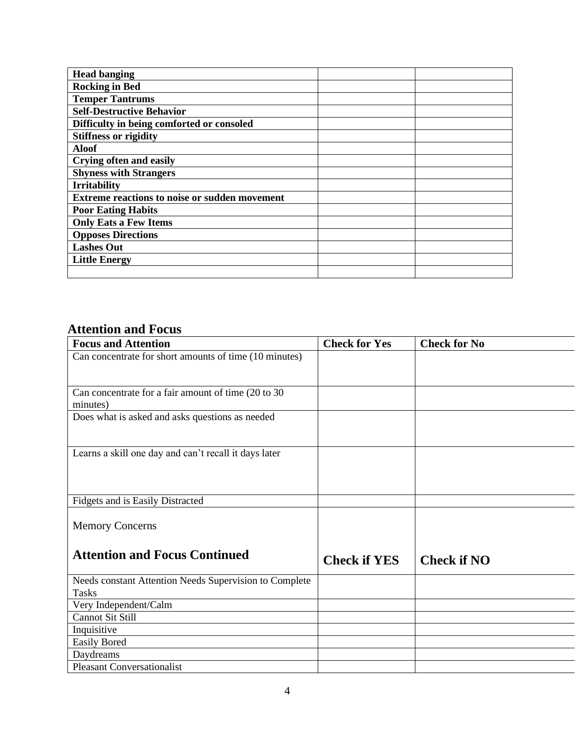| <b>Head banging</b>                                  |  |
|------------------------------------------------------|--|
| <b>Rocking in Bed</b>                                |  |
| <b>Temper Tantrums</b>                               |  |
| <b>Self-Destructive Behavior</b>                     |  |
| Difficulty in being comforted or consoled            |  |
| <b>Stiffness or rigidity</b>                         |  |
| <b>Aloof</b>                                         |  |
| <b>Crying often and easily</b>                       |  |
| <b>Shyness with Strangers</b>                        |  |
| <b>Irritability</b>                                  |  |
| <b>Extreme reactions to noise or sudden movement</b> |  |
| <b>Poor Eating Habits</b>                            |  |
| <b>Only Eats a Few Items</b>                         |  |
| <b>Opposes Directions</b>                            |  |
| <b>Lashes Out</b>                                    |  |
| <b>Little Energy</b>                                 |  |
|                                                      |  |

# **Attention and Focus**

| <b>Focus and Attention</b>                             | <b>Check for Yes</b> | <b>Check for No</b> |
|--------------------------------------------------------|----------------------|---------------------|
| Can concentrate for short amounts of time (10 minutes) |                      |                     |
|                                                        |                      |                     |
|                                                        |                      |                     |
| Can concentrate for a fair amount of time (20 to 30)   |                      |                     |
| minutes)                                               |                      |                     |
| Does what is asked and asks questions as needed        |                      |                     |
|                                                        |                      |                     |
| Learns a skill one day and can't recall it days later  |                      |                     |
|                                                        |                      |                     |
|                                                        |                      |                     |
| Fidgets and is Easily Distracted                       |                      |                     |
|                                                        |                      |                     |
| <b>Memory Concerns</b>                                 |                      |                     |
|                                                        |                      |                     |
| <b>Attention and Focus Continued</b>                   | <b>Check if YES</b>  | <b>Check if NO</b>  |
| Needs constant Attention Needs Supervision to Complete |                      |                     |
| <b>Tasks</b>                                           |                      |                     |
| Very Independent/Calm                                  |                      |                     |
| <b>Cannot Sit Still</b>                                |                      |                     |
| Inquisitive                                            |                      |                     |
| <b>Easily Bored</b>                                    |                      |                     |
| Daydreams                                              |                      |                     |
| <b>Pleasant Conversationalist</b>                      |                      |                     |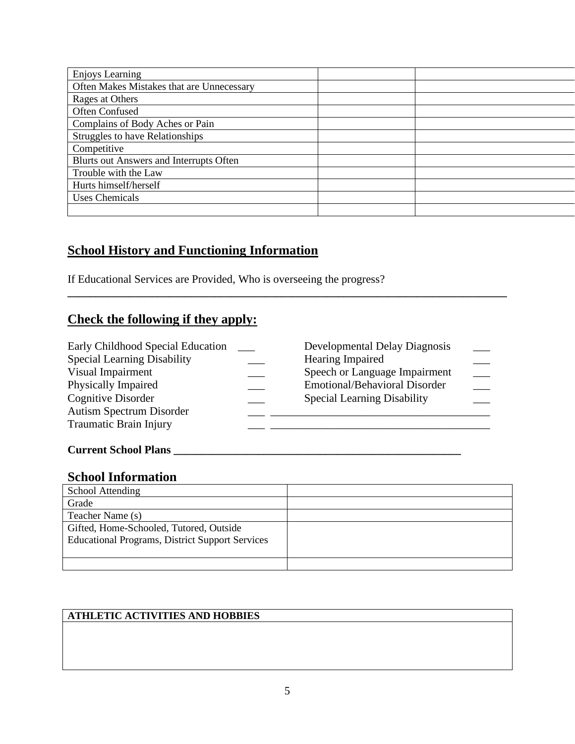# **School History and Functioning Information**

If Educational Services are Provided, Who is overseeing the progress?

## **Check the following if they apply:**

| Early Childhood Special Education  | Developmental Delay Diagnosis        |  |
|------------------------------------|--------------------------------------|--|
| <b>Special Learning Disability</b> | Hearing Impaired                     |  |
| Visual Impairment                  | Speech or Language Impairment        |  |
| Physically Impaired                | <b>Emotional/Behavioral Disorder</b> |  |
| Cognitive Disorder                 | <b>Special Learning Disability</b>   |  |
| Autism Spectrum Disorder           |                                      |  |
| <b>Traumatic Brain Injury</b>      |                                      |  |
|                                    |                                      |  |

**\_\_\_\_\_\_\_\_\_\_\_\_\_\_\_\_\_\_\_\_\_\_\_\_\_\_\_\_\_\_\_\_\_\_\_\_\_\_\_\_\_\_\_\_\_\_\_\_\_\_\_\_\_\_\_\_\_\_\_\_\_\_\_\_\_\_\_\_\_\_\_\_\_\_\_\_\_\_**

#### **Current School Plans \_\_\_\_\_\_\_\_\_\_\_\_\_\_\_\_\_\_\_\_\_\_\_\_\_\_\_\_\_\_\_\_\_\_\_\_\_\_\_\_\_\_\_\_\_\_\_\_\_\_\_**

#### **School Information**

| School Attending                                       |  |
|--------------------------------------------------------|--|
| Grade                                                  |  |
| Teacher Name (s)                                       |  |
| Gifted, Home-Schooled, Tutored, Outside                |  |
| <b>Educational Programs, District Support Services</b> |  |
|                                                        |  |
|                                                        |  |

#### **ATHLETIC ACTIVITIES AND HOBBIES**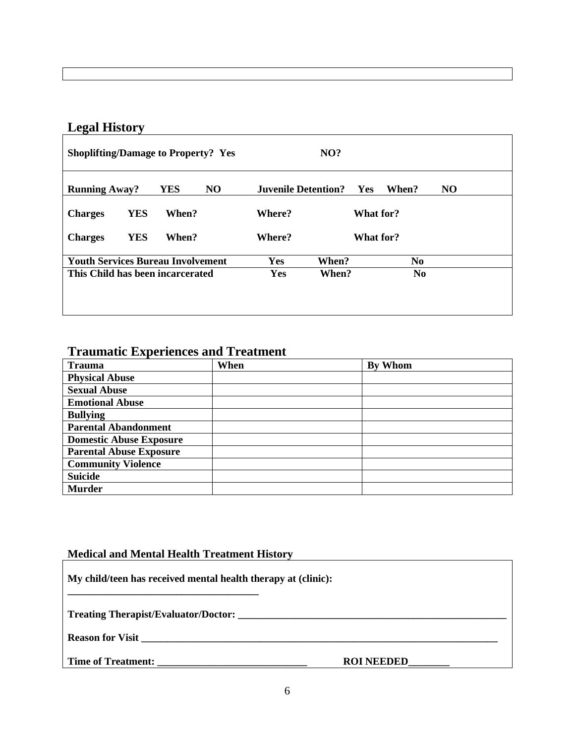# **Legal History**

| <b>Shoplifting/Damage to Property? Yes</b> |                       |                            | NO?        |                |    |
|--------------------------------------------|-----------------------|----------------------------|------------|----------------|----|
| <b>Running Away?</b>                       | N <sub>O</sub><br>YES | <b>Juvenile Detention?</b> | <b>Yes</b> | When?          | NO |
| <b>YES</b><br><b>Charges</b>               | When?                 | Where?                     | What for?  |                |    |
| <b>YES</b><br><b>Charges</b>               | When?                 | Where?                     | What for?  |                |    |
| <b>Youth Services Bureau Involvement</b>   |                       | Yes                        | When?      | N <sub>0</sub> |    |
| This Child has been incarcerated           |                       | Yes                        | When?      | N <sub>0</sub> |    |
|                                            |                       |                            |            |                |    |
|                                            |                       |                            |            |                |    |

## **Traumatic Experiences and Treatment**

| <b>Trauma</b>                  | When | By Whom |
|--------------------------------|------|---------|
| <b>Physical Abuse</b>          |      |         |
| <b>Sexual Abuse</b>            |      |         |
| <b>Emotional Abuse</b>         |      |         |
| <b>Bullying</b>                |      |         |
| <b>Parental Abandonment</b>    |      |         |
| <b>Domestic Abuse Exposure</b> |      |         |
| <b>Parental Abuse Exposure</b> |      |         |
| <b>Community Violence</b>      |      |         |
| <b>Suicide</b>                 |      |         |
| <b>Murder</b>                  |      |         |

#### **Medical and Mental Health Treatment History**

| My child/teen has received mental health therapy at (clinic): |                   |  |  |  |
|---------------------------------------------------------------|-------------------|--|--|--|
|                                                               |                   |  |  |  |
|                                                               |                   |  |  |  |
|                                                               | <b>ROI NEEDED</b> |  |  |  |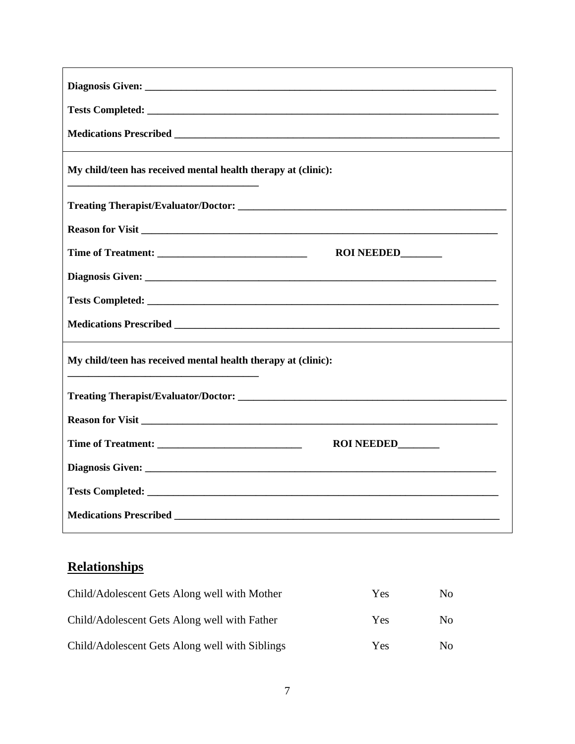| My child/teen has received mental health therapy at (clinic): |
|---------------------------------------------------------------|
|                                                               |
| Reason for Visit                                              |
| ROI NEEDED_______                                             |
|                                                               |
|                                                               |
|                                                               |
| My child/teen has received mental health therapy at (clinic): |
|                                                               |
| Reason for Visit                                              |
| ROI NEEDED______                                              |
|                                                               |
|                                                               |
|                                                               |

# **Relationships**

| Child/Adolescent Gets Along well with Mother   | <b>Yes</b> | N <sub>0</sub> |
|------------------------------------------------|------------|----------------|
| Child/Adolescent Gets Along well with Father   | Yes.       | N <sub>0</sub> |
| Child/Adolescent Gets Along well with Siblings | Yes.       | Nο             |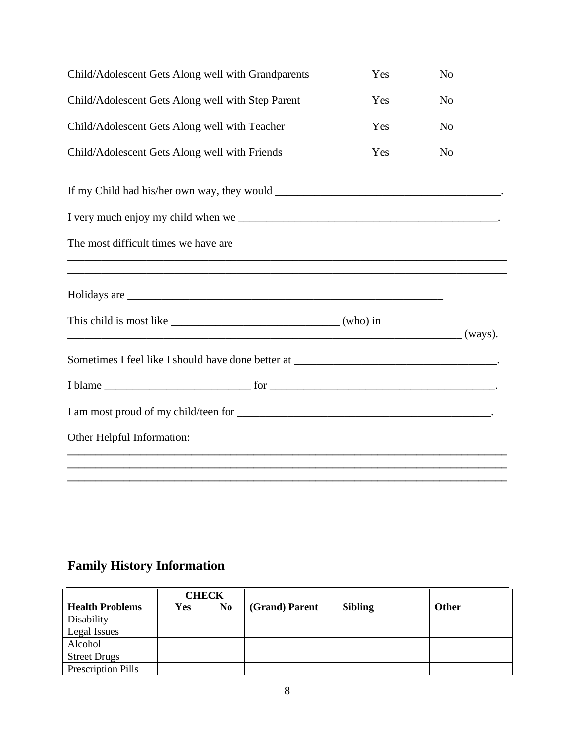| Child/Adolescent Gets Along well with Grandparents                                                                                                                                                                                                                                                                                                                                                            | Yes     | N <sub>o</sub> |
|---------------------------------------------------------------------------------------------------------------------------------------------------------------------------------------------------------------------------------------------------------------------------------------------------------------------------------------------------------------------------------------------------------------|---------|----------------|
| Child/Adolescent Gets Along well with Step Parent                                                                                                                                                                                                                                                                                                                                                             | Yes     | N <sub>0</sub> |
| Child/Adolescent Gets Along well with Teacher                                                                                                                                                                                                                                                                                                                                                                 | Yes     | N <sub>o</sub> |
| Child/Adolescent Gets Along well with Friends                                                                                                                                                                                                                                                                                                                                                                 | Yes     | N <sub>o</sub> |
|                                                                                                                                                                                                                                                                                                                                                                                                               |         |                |
|                                                                                                                                                                                                                                                                                                                                                                                                               |         |                |
| The most difficult times we have are                                                                                                                                                                                                                                                                                                                                                                          |         |                |
|                                                                                                                                                                                                                                                                                                                                                                                                               |         |                |
| This child is most like $\frac{1}{\sqrt{1-\frac{1}{\sqrt{1-\frac{1}{\sqrt{1-\frac{1}{\sqrt{1-\frac{1}{\sqrt{1-\frac{1}{\sqrt{1-\frac{1}{\sqrt{1-\frac{1}{\sqrt{1-\frac{1}{\sqrt{1-\frac{1}{\sqrt{1-\frac{1}{\sqrt{1-\frac{1}{\sqrt{1-\frac{1}{\sqrt{1-\frac{1}{\sqrt{1-\frac{1}{\sqrt{1-\frac{1}{\sqrt{1-\frac{1}{\sqrt{1-\frac{1}{\sqrt{1-\frac{1}{\sqrt{1-\frac{1}{\sqrt{1-\frac{1}{\sqrt{1-\frac{1}{\sqrt$ | (ways). |                |
|                                                                                                                                                                                                                                                                                                                                                                                                               |         |                |
|                                                                                                                                                                                                                                                                                                                                                                                                               |         |                |
|                                                                                                                                                                                                                                                                                                                                                                                                               |         |                |
| Other Helpful Information:                                                                                                                                                                                                                                                                                                                                                                                    |         |                |
|                                                                                                                                                                                                                                                                                                                                                                                                               |         |                |

# **Family History Information**

|                           | <b>CHECK</b> |    |                |                |              |
|---------------------------|--------------|----|----------------|----------------|--------------|
| <b>Health Problems</b>    | Yes          | No | (Grand) Parent | <b>Sibling</b> | <b>Other</b> |
| Disability                |              |    |                |                |              |
| Legal Issues              |              |    |                |                |              |
| Alcohol                   |              |    |                |                |              |
| <b>Street Drugs</b>       |              |    |                |                |              |
| <b>Prescription Pills</b> |              |    |                |                |              |